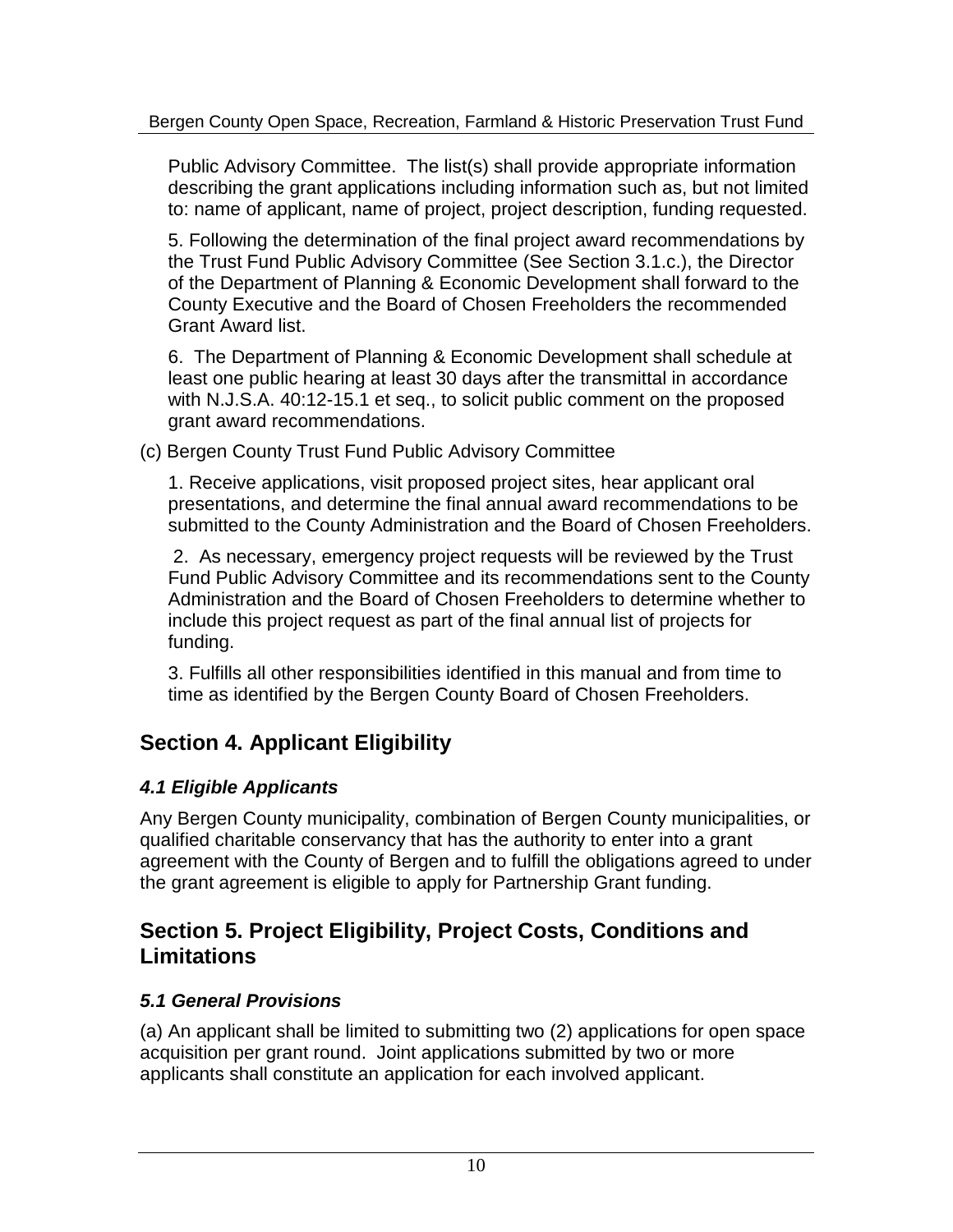Public Advisory Committee. The list(s) shall provide appropriate information describing the grant applications including information such as, but not limited to: name of applicant, name of project, project description, funding requested.

 Following the determination of the final project award recommendations by the Trust Fund Public Advisory Committee (See Section 3.1.c.), the Director of the Department of Planning & Economic Development shall forward to the County Executive and the Board of  $\& R \times Q \quad W \cup R \& R \quad W \quad$ recommended Grant Award list.

 The Department of Planning & Economic Development shall schedule at least one public hearing at least 30 days after the transmittal in accordance with N.J.S.A. 40:12-15.1 et seq., to solicit public comment on the proposed grant award recommendations.

(c) Bergen County Trust Fund Public Advisory Committee

1. Receive applications, visit proposed project sites, hear applicant oral presentations, and determine the final annual award recommendations to be submitted to the County Administration and the Board of County Commissioners.

 As necessary, emergency project requests will be reviewed by the Trust Fund Public Advisory Committee and its recommendations sent to the County Administration and the Board of County Commissioners to determine whether to include this project request as part of the final annual list of projects for funding.

 Fulfills all other responsibilities identified in this manual and from time to time as identified by the Bergen County Board of County Commissioners.

# **Section 4. Applicant Eligibility**

# *4.1 Eligible Applicants*

Any Bergen County municipality, combination of Bergen County municipalities, or qualified charitable conservancy that has the authority to enter into a grant agreement with the County of Bergen and to fulfill the obligations agreed to under the grant agreement is eligible to apply for Partnership Grant funding.

# **Section 5. Project Eligibility, Project Costs, Conditions and Limitations**

# *5.1 General Provisions*

(a) An applicant shall be limited to submitting two (2) applications for open space acquisition per grant round. Joint applications submitted by two or more applicants shall constitute an application for each involved applicant.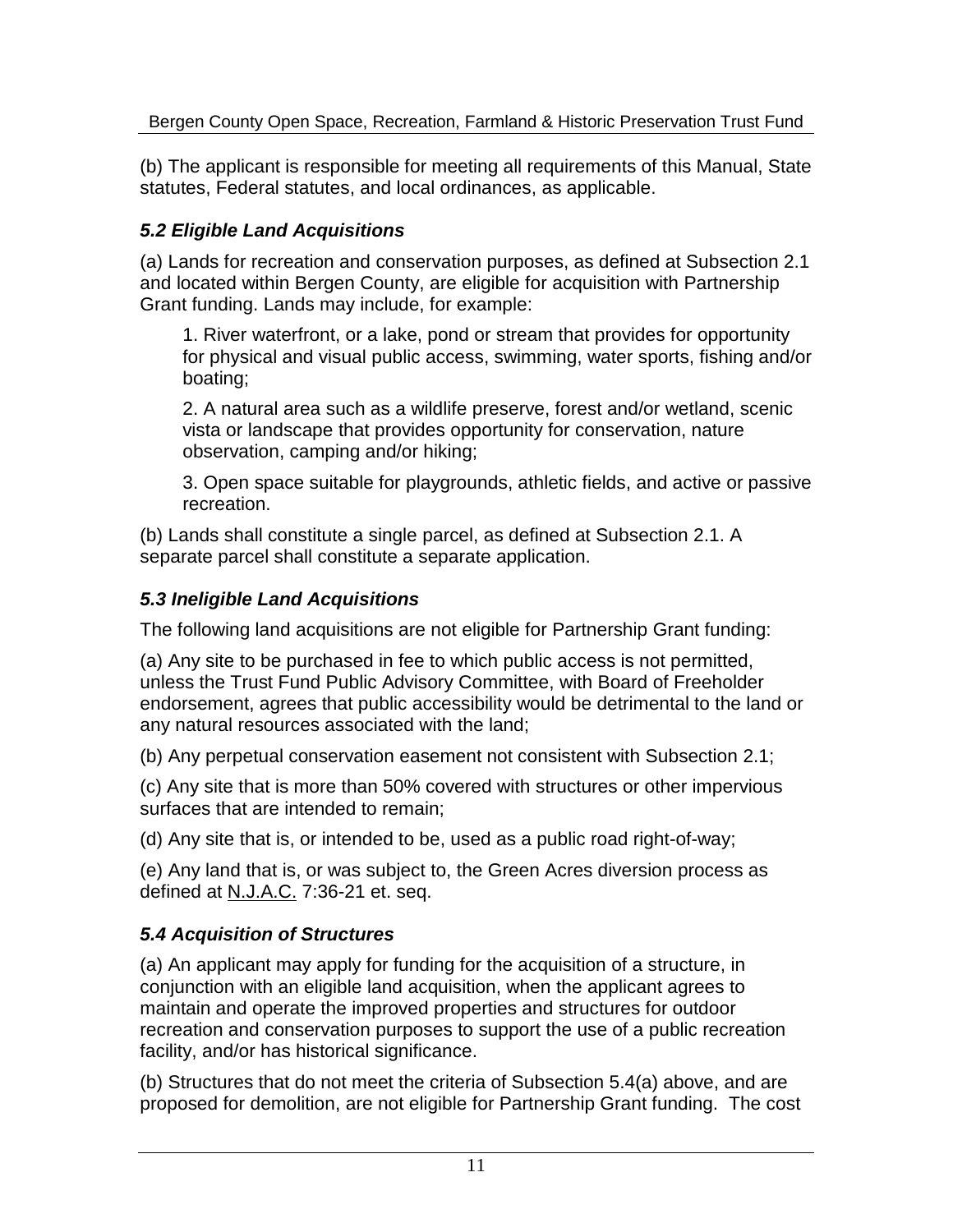(b) The applicant is responsible for meeting all requirements of this Manual, State statutes, Federal statutes, and local ordinances, as applicable.

### *5.2 Eligible Land Acquisitions*

(a) Lands for recreation and conservation purposes, as defined at Subsection 2.1 and located within Bergen County, are eligible for acquisition with Partnership Grant funding. Lands may include, for example:

1. River waterfront, or a lake, pond or stream that provides for opportunity for physical and visual public access, swimming, water sports, fishing and/or boating;

2. A natural area such as a wildlife preserve, forest and/or wetland, scenic vista or landscape that provides opportunity for conservation, nature observation, camping and/or hiking;

3. Open space suitable for playgrounds, athletic fields, and active or passive recreation.

(b) Lands shall constitute a single parcel, as defined at Subsection 2.1. A separate parcel shall constitute a separate application.

### *5.3 Ineligible Land Acquisitions*

The following land acquisitions are not eligible for Partnership Grant funding:

(a) Any site to be purchased in fee to which public access is not permitted, unless the Trust Fund Public Advisory Committee, with Board of County Commissioner endorsement, agrees that public accessibility would be detrimental to the land or any natural resources associated with the land;

(b) Any perpetual conservation easement not consistent with Subsection 2.1;

(c) Any site that is more than 50% covered with structures or other impervious surfaces that are intended to remain;

(d) Any site that is, or intended to be, used as a public road right-of-way;

(e) Any land that is, or was subject to, the Green Acres diversion process as defined at N.J.A.C. 7:36-21 et. seq.

### *5.4 Acquisition of Structures*

(a) An applicant may apply for funding for the acquisition of a structure, in conjunction with an eligible land acquisition, when the applicant agrees to maintain and operate the improved properties and structures for outdoor recreation and conservation purposes to support the use of a public recreation facility, and/or has historical significance.

(b) Structures that do not meet the criteria of Subsection 5.4(a) above, and are proposed for demolition, are not eligible for Partnership Grant funding. The cost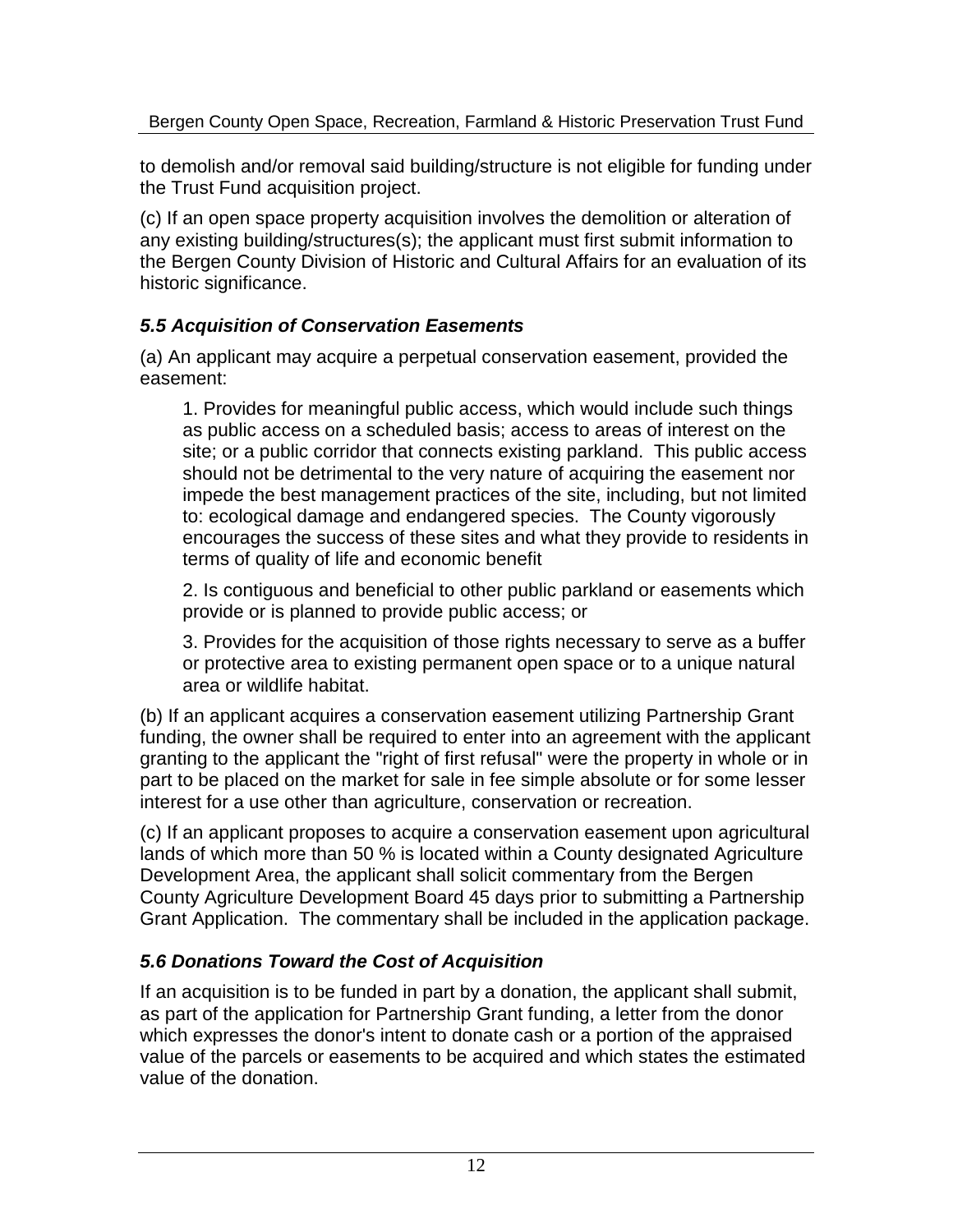to demolish and/or removal said building/structure is not eligible for funding under the Trust Fund acquisition project.

(c) If an open space property acquisition involves the demolition or alteration of any existing building/structures(s); the applicant must first submit information to the Bergen County Division of Historic and Cultural Affairs for an evaluation of its historic significance.

### *5.5 Acquisition of Conservation Easements*

(a) An applicant may acquire a perpetual conservation easement, provided the easement:

1. Provides for meaningful public access, which would include such things as public access on a scheduled basis; access to areas of interest on the site; or a public corridor that connects existing parkland. This public access should not be detrimental to the very nature of acquiring the easement nor impede the best management practices of the site, including, but not limited to: ecological damage and endangered species. The County vigorously encourages the success of these sites and what they provide to residents in terms of quality of life and economic benefit

2. Is contiguous and beneficial to other public parkland or easements which provide or is planned to provide public access; or

3. Provides for the acquisition of those rights necessary to serve as a buffer or protective area to existing permanent open space or to a unique natural area or wildlife habitat.

(b) If an applicant acquires a conservation easement utilizing Partnership Grant funding, the owner shall be required to enter into an agreement with the applicant granting to the applicant the "right of first refusal" were the property in whole or in part to be placed on the market for sale in fee simple absolute or for some lesser interest for a use other than agriculture, conservation or recreation.

(c) If an applicant proposes to acquire a conservation easement upon agricultural lands of which more than 50 % is located within a County designated Agriculture Development Area, the applicant shall solicit commentary from the Bergen County Agriculture Development Board 45 days prior to submitting a Partnership Grant Application. The commentary shall be included in the application package.

# *5.6 Donations Toward the Cost of Acquisition*

If an acquisition is to be funded in part by a donation, the applicant shall submit, as part of the application for Partnership Grant funding, a letter from the donor which expresses the donor's intent to donate cash or a portion of the appraised value of the parcels or easements to be acquired and which states the estimated value of the donation.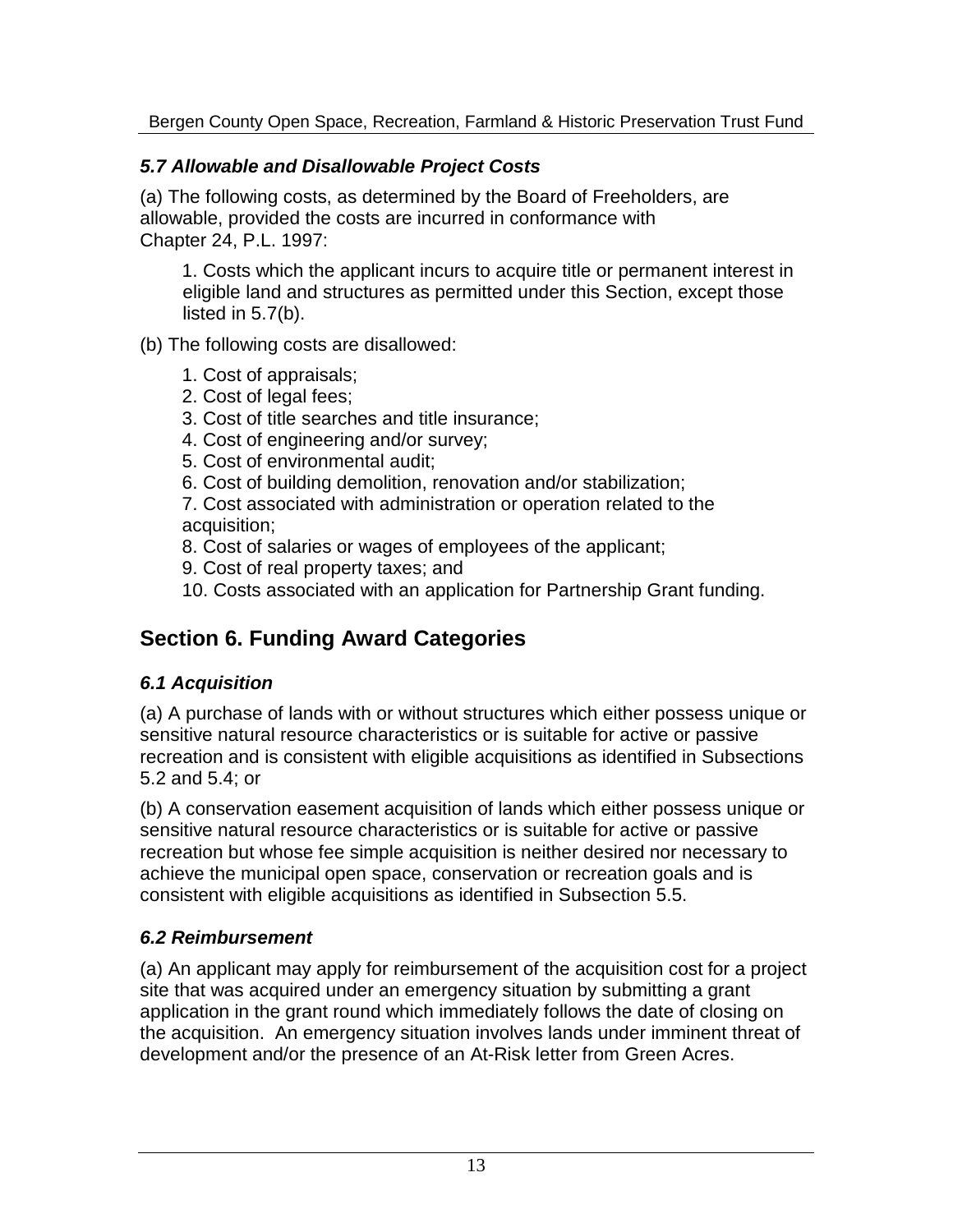### *5.7 Allowable and Disallowable Project Costs*

(a) The following costs, as determined by the Board of County Commissioners, are allowable, provided the costs are incurred in conformance with Chapter 24, P.L. 1997:

1. Costs which the applicant incurs to acquire title or permanent interest in eligible land and structures as permitted under this Section, except those listed in 5.7(b).

(b) The following costs are disallowed:

- 1. Cost of appraisals;
- 2. Cost of legal fees;
- 3. Cost of title searches and title insurance;
- 4. Cost of engineering and/or survey;
- 5. Cost of environmental audit;
- 6. Cost of building demolition, renovation and/or stabilization;

7. Cost associated with administration or operation related to the acquisition;

- 8. Cost of salaries or wages of employees of the applicant;
- 9. Cost of real property taxes; and
- 10. Costs associated with an application for Partnership Grant funding.

# **Section 6. Funding Award Categories**

# *6.1 Acquisition*

(a) A purchase of lands with or without structures which either possess unique or sensitive natural resource characteristics or is suitable for active or passive recreation and is consistent with eligible acquisitions as identified in Subsections 5.2 and 5.4; or

(b) A conservation easement acquisition of lands which either possess unique or sensitive natural resource characteristics or is suitable for active or passive recreation but whose fee simple acquisition is neither desired nor necessary to achieve the municipal open space, conservation or recreation goals and is consistent with eligible acquisitions as identified in Subsection 5.5.

# *6.2 Reimbursement*

(a) An applicant may apply for reimbursement of the acquisition cost for a project site that was acquired under an emergency situation by submitting a grant application in the grant round which immediately follows the date of closing on the acquisition. An emergency situation involves lands under imminent threat of development and/or the presence of an At-Risk letter from Green Acres.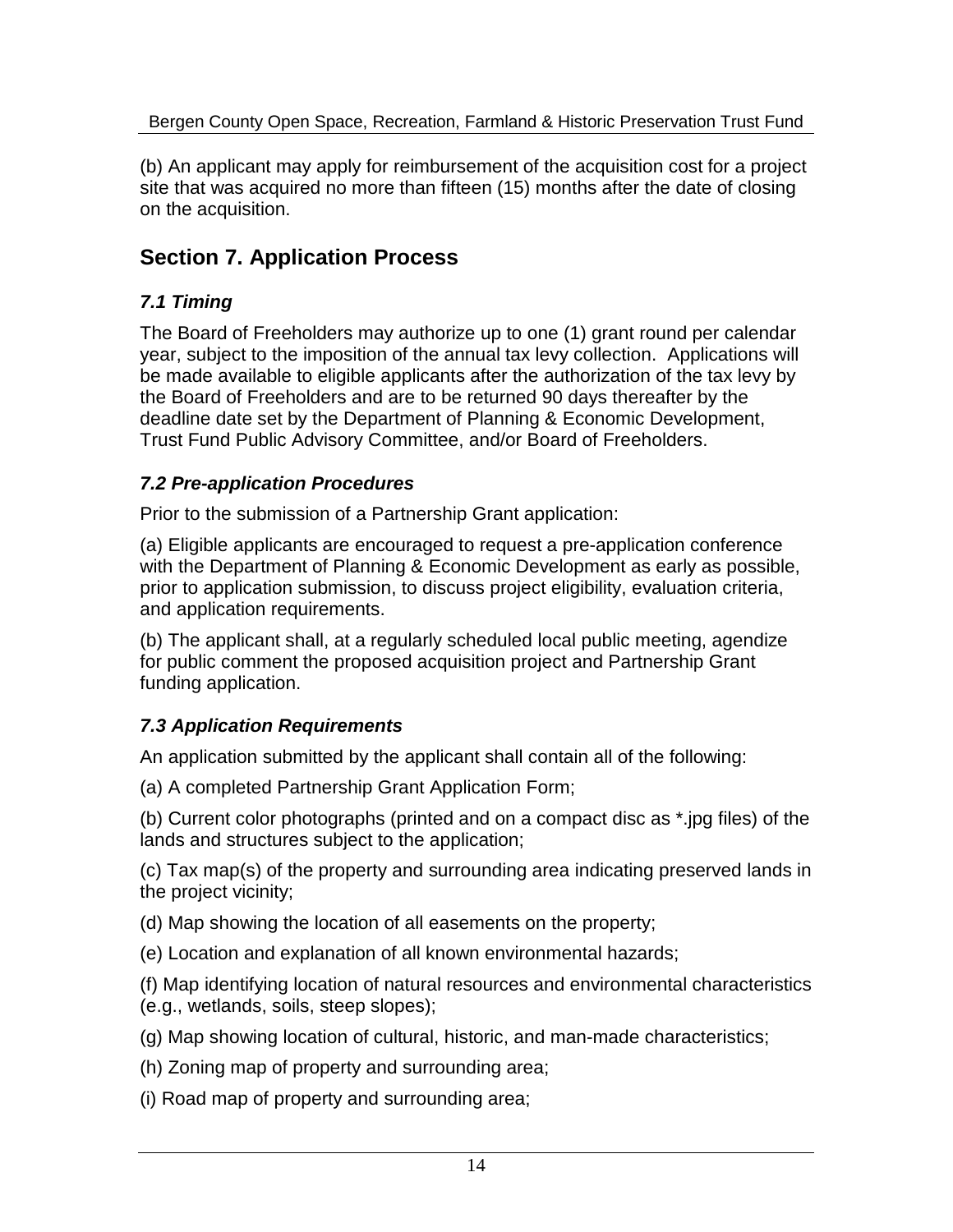(b) An applicant may apply for reimbursement of the acquisition cost for a project site that was acquired no more than fifteen (15) months after the date of closing on the acquisition.

# **Section 7. Application Process**

# *7.1 Timing*

The Board of County Commissioners may authorize up to one (1) grant round per calendar year, subject to the imposition of the annual tax levy collection. Applications will be made available to eligible applicants after the authorization of the tax levy by the Board of County Commissioners and are to be returned 90 days thereafter by the deadline date set by the Department of Planning & Economic Development, Trust Fund Public Advisory Committee, and/or Board of County Commissioners.

### *7.2 Pre-application Procedures*

Prior to the submission of a Partnership Grant application:

(a) Eligible applicants are encouraged to request a pre-application conference with the Department of Planning & Economic Development as early as possible, prior to application submission, to discuss project eligibility, evaluation criteria, and application requirements.

(b) The applicant shall, at a regularly scheduled local public meeting, agendize for public comment the proposed acquisition project and Partnership Grant funding application.

### *7.3 Application Requirements*

An application submitted by the applicant shall contain all of the following:

(a) A completed Partnership Grant Application Form;

(b) Current color photographs (printed and on a compact disc as \*.jpg files) of the lands and structures subject to the application;

(c) Tax map(s) of the property and surrounding area indicating preserved lands in the project vicinity;

(d) Map showing the location of all easements on the property;

(e) Location and explanation of all known environmental hazards;

(f) Map identifying location of natural resources and environmental characteristics (e.g., wetlands, soils, steep slopes);

(g) Map showing location of cultural, historic, and man-made characteristics;

(h) Zoning map of property and surrounding area;

(i) Road map of property and surrounding area;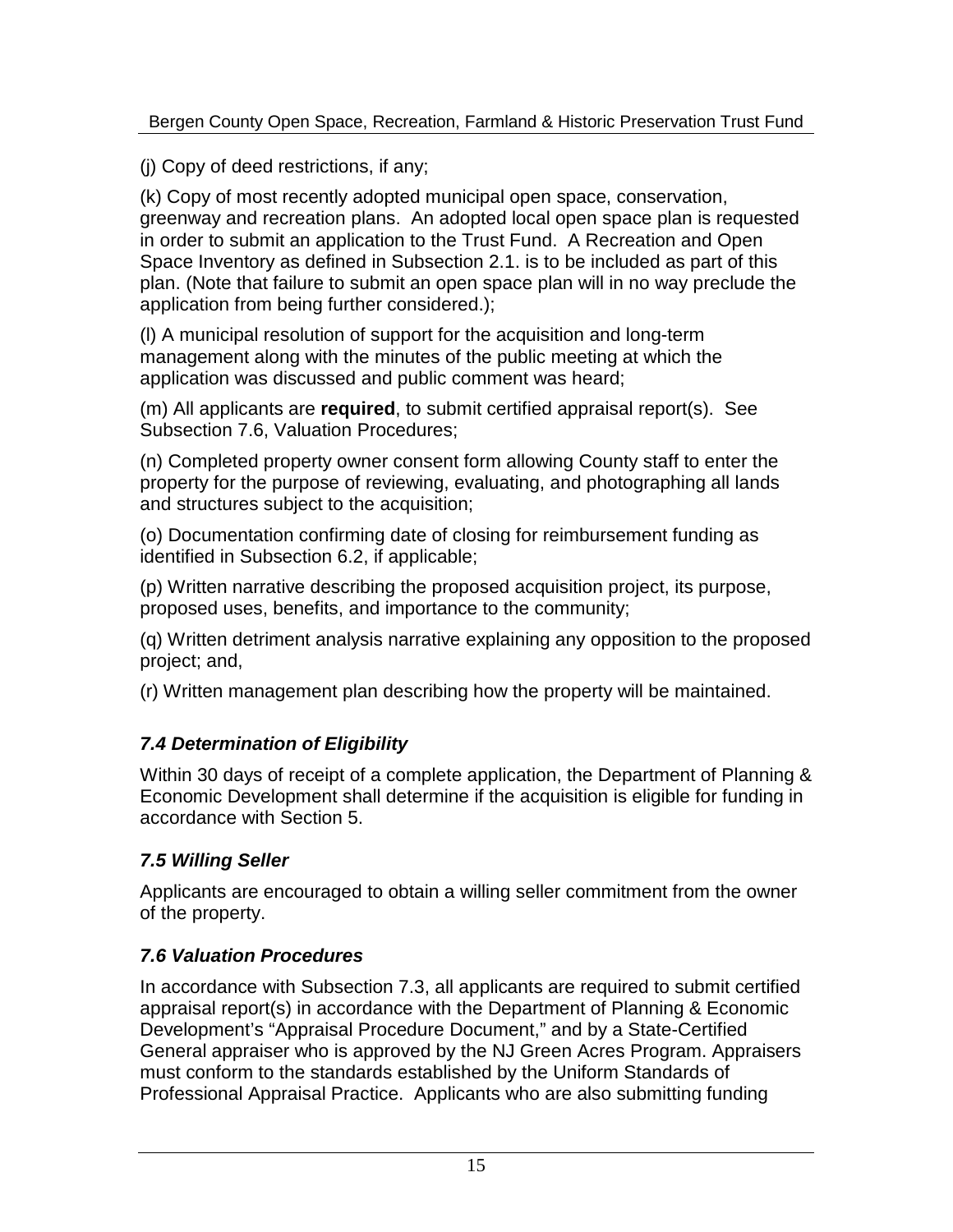(j) Copy of deed restrictions, if any;

(k) Copy of most recently adopted municipal open space, conservation, greenway and recreation plans. An adopted local open space plan is requested in order to submit an application to the Trust Fund. A Recreation and Open Space Inventory as defined in Subsection 2.1. is to be included as part of this plan. (Note that failure to submit an open space plan will in no way preclude the application from being further considered.);

(l) A municipal resolution of support for the acquisition and long-term management along with the minutes of the public meeting at which the application was discussed and public comment was heard;

(m) All applicants are **required**, to submit certified appraisal report(s). See Subsection 7.6, Valuation Procedures;

(n) Completed property owner consent form allowing County staff to enter the property for the purpose of reviewing, evaluating, and photographing all lands and structures subject to the acquisition;

(o) Documentation confirming date of closing for reimbursement funding as identified in Subsection 6.2, if applicable;

(p) Written narrative describing the proposed acquisition project, its purpose, proposed uses, benefits, and importance to the community;

(q) Written detriment analysis narrative explaining any opposition to the proposed project; and,

(r) Written management plan describing how the property will be maintained.

# *7.4 Determination of Eligibility*

Within 30 days of receipt of a complete application, the Department of Planning & Economic Development shall determine if the acquisition is eligible for funding in accordance with Section 5.

# *7.5 Willing Seller*

Applicants are encouraged to obtain a willing seller commitment from the owner of the property.

# *7.6 Valuation Procedures*

In accordance with Subsection 7.3, all applicants are required to submit certified appraisal report(s) in accordance with the Department of Planning & Economic Development's "Appraisal Procedure Document," and by a State-Certified General appraiser who is approved by the NJ Green Acres Program. Appraisers must conform to the standards established by the Uniform Standards of Professional Appraisal Practice. Applicants who are also submitting funding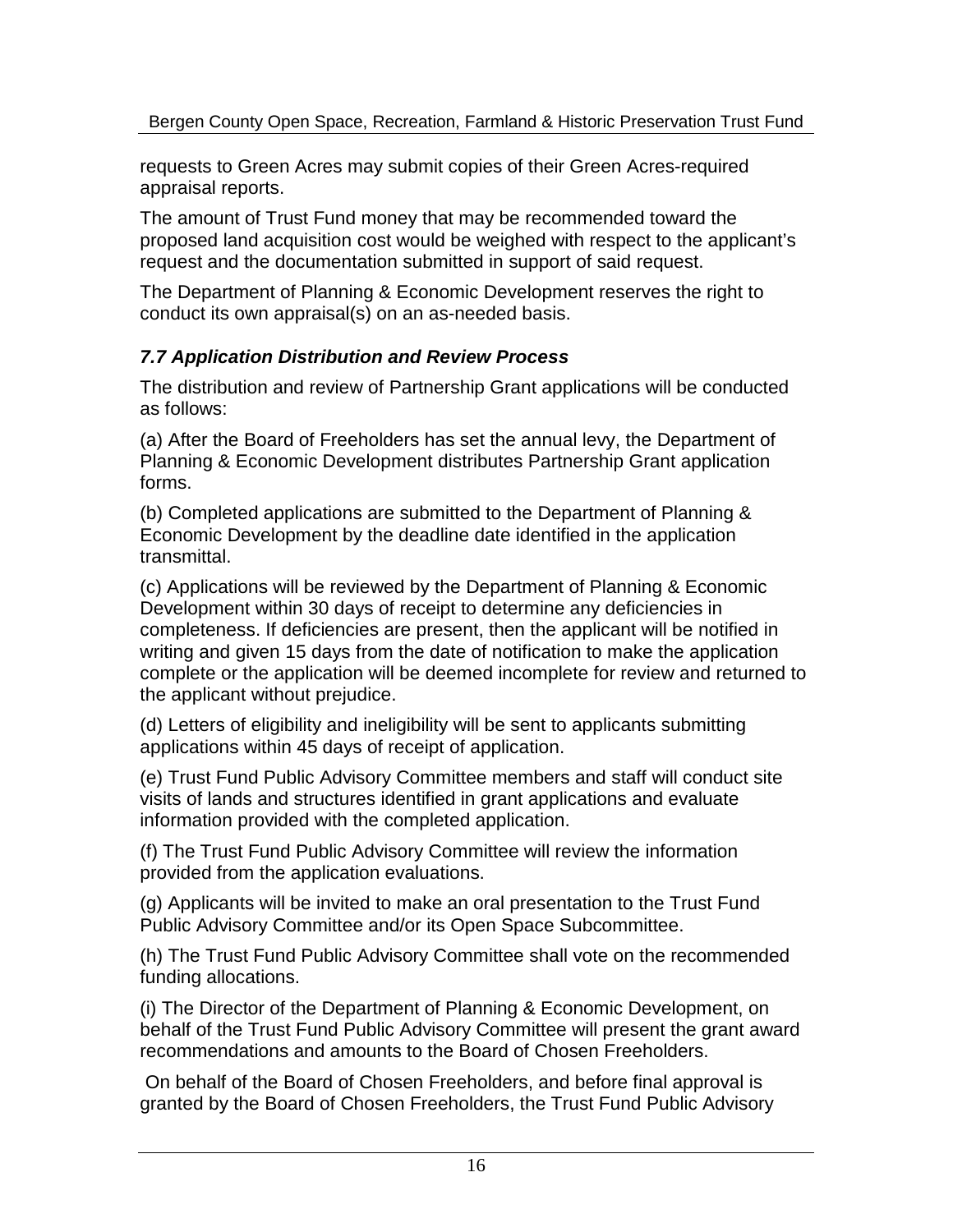requests to Green Acres may submit copies of their Green Acres-required appraisal reports.

The amount of Trust Fund money that may be recommended toward the proposed land acquisition cost would be weighed with respect to the applicant's request and the documentation submitted in support of said request.

The Department of Planning & Economic Development reserves the right to conduct its own appraisal(s) on an as-needed basis.

### *7.7 Application Distribution and Review Process*

The distribution and review of Partnership Grant applications will be conducted as follows:

(a) After the Board of County Commissioners has set the annual levy, the Department of Planning & Economic Development distributes Partnership Grant application forms.

(b) Completed applications are submitted to the Department of Planning & Economic Development by the deadline date identified in the application transmittal.

(c) Applications will be reviewed by the Department of Planning & Economic Development within 30 days of receipt to determine any deficiencies in completeness. If deficiencies are present, then the applicant will be notified in writing and given 15 days from the date of notification to make the application complete or the application will be deemed incomplete for review and returned to the applicant without prejudice.

(d) Letters of eligibility and ineligibility will be sent to applicants submitting applications within 45 days of receipt of application.

(e) Trust Fund Public Advisory Committee members and staff will conduct site visits of lands and structures identified in grant applications and evaluate information provided with the completed application.

(f) The Trust Fund Public Advisory Committee will review the information provided from the application evaluations.

(g) Applicants will be invited to make an oral presentation to the Trust Fund Public Advisory Committee and/or its Open Space Subcommittee.

(h) The Trust Fund Public Advisory Committee shall vote on the recommended funding allocations.

(i) The Director of the Department of Planning & Economic Development, on behalf of the Trust Fund Public Advisory Committee will present the grant award recommendations and amounts to the Board of County Commissioners.

On behalf of the Board of County Commissioners, and before final approval is granted by the Board of County Commissioners, the Trust Fund Public Advisory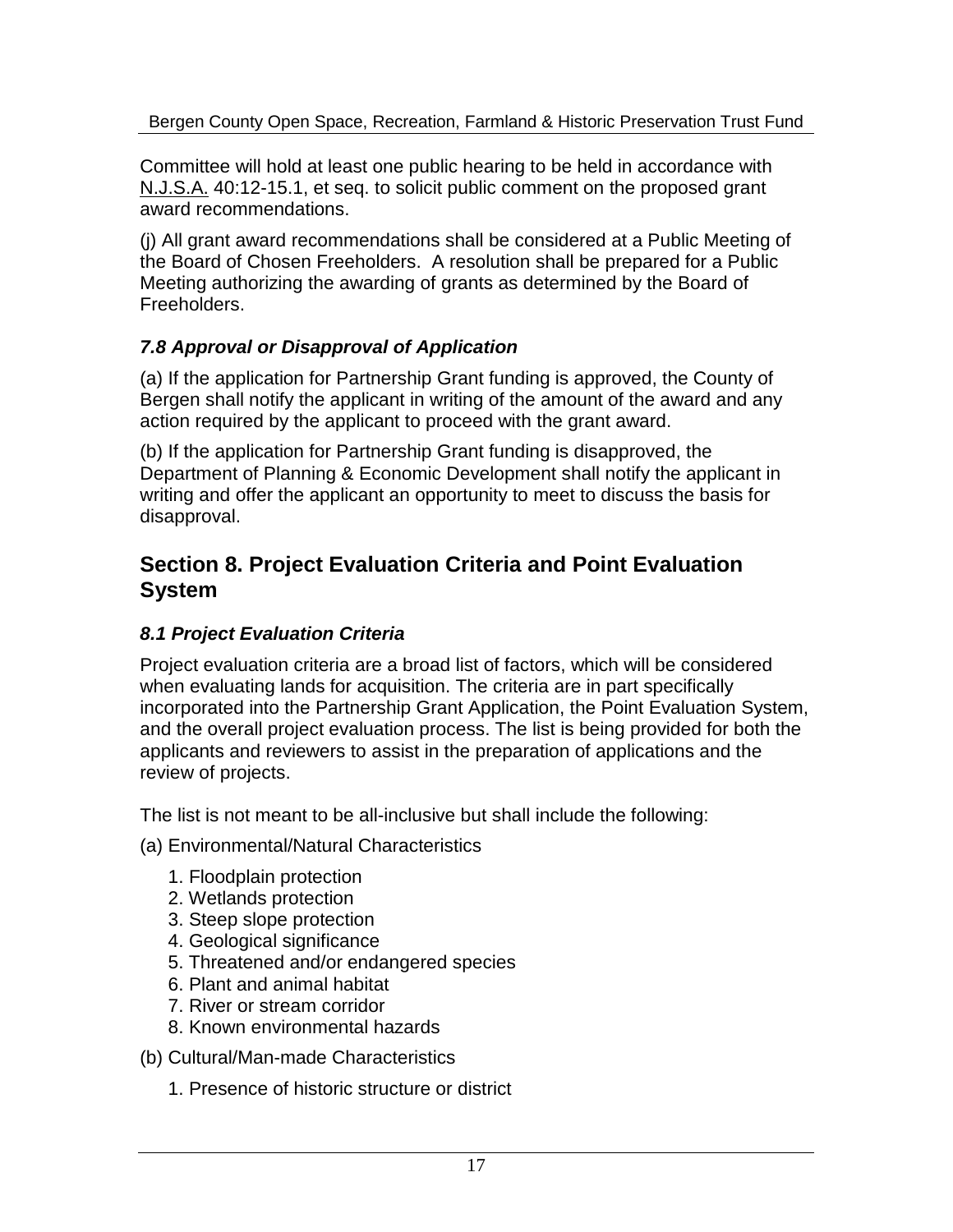Committee will hold at least one public hearing to be held in accordance with N.J.S.A. 40:12-15.1, et seq. to solicit public comment on the proposed grant award recommendations.

(j) All grant award recommendations shall be considered at a Public Meeting of the Board of County Commissioners. A resolution shall be prepared for a Public Meeting authorizing the awarding of grants as determined by the Board of County Commissioners.

### *7.8 Approval or Disapproval of Application*

(a) If the application for Partnership Grant funding is approved, the County of Bergen shall notify the applicant in writing of the amount of the award and any action required by the applicant to proceed with the grant award.

(b) If the application for Partnership Grant funding is disapproved, the Department of Planning & Economic Development shall notify the applicant in writing and offer the applicant an opportunity to meet to discuss the basis for disapproval.

# **Section 8. Project Evaluation Criteria and Point Evaluation System**

### *8.1 Project Evaluation Criteria*

Project evaluation criteria are a broad list of factors, which will be considered when evaluating lands for acquisition. The criteria are in part specifically incorporated into the Partnership Grant Application, the Point Evaluation System, and the overall project evaluation process. The list is being provided for both the applicants and reviewers to assist in the preparation of applications and the review of projects.

The list is not meant to be all-inclusive but shall include the following:

- (a) Environmental/Natural Characteristics
	- 1. Floodplain protection
	- 2. Wetlands protection
	- 3. Steep slope protection
	- 4. Geological significance
	- 5. Threatened and/or endangered species
	- 6. Plant and animal habitat
	- 7. River or stream corridor
	- 8. Known environmental hazards
- (b) Cultural/Man-made Characteristics
	- 1. Presence of historic structure or district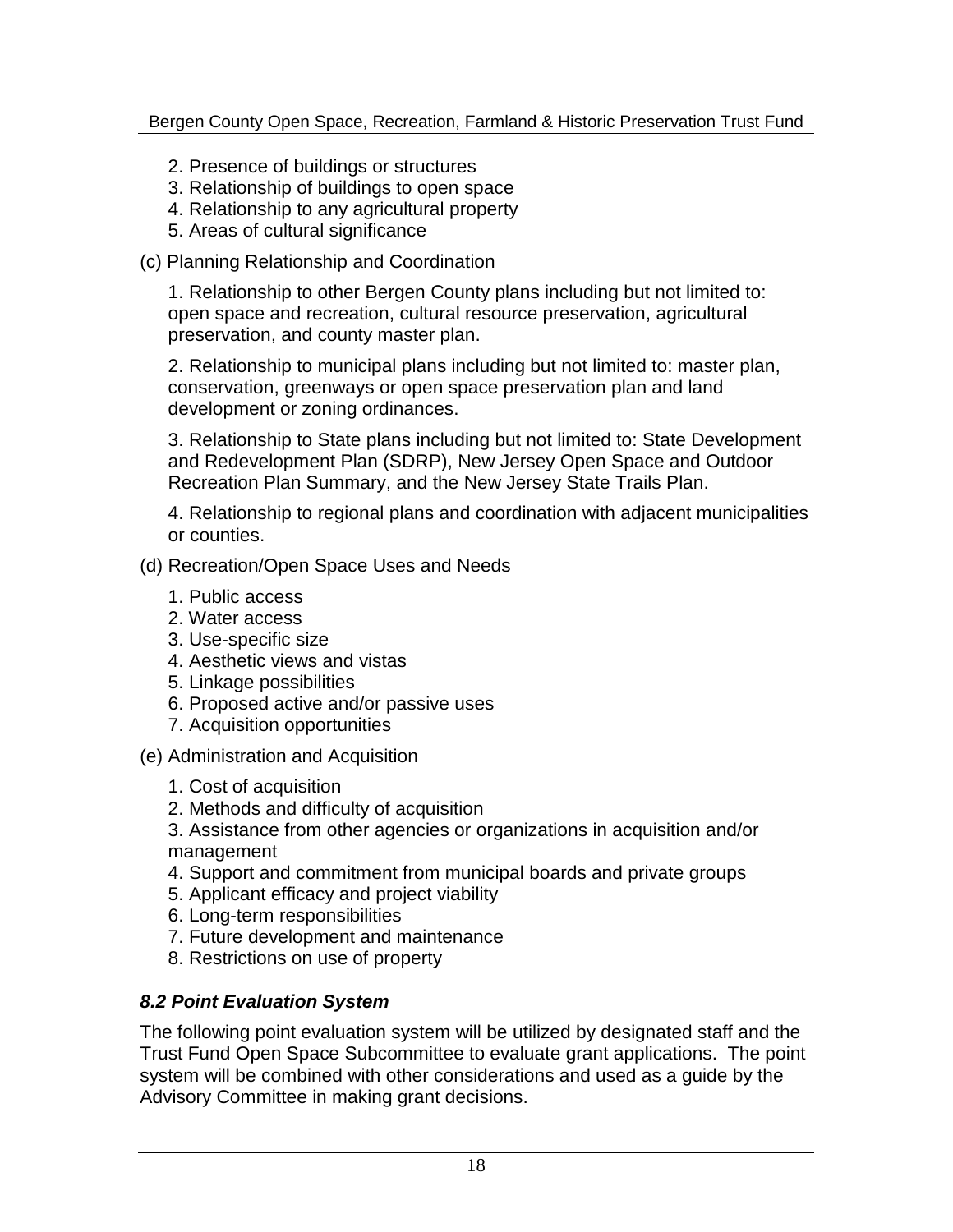- 2. Presence of buildings or structures
- 3. Relationship of buildings to open space
- 4. Relationship to any agricultural property
- 5. Areas of cultural significance
- (c) Planning Relationship and Coordination

1. Relationship to other Bergen County plans including but not limited to: open space and recreation, cultural resource preservation, agricultural preservation, and county master plan.

2. Relationship to municipal plans including but not limited to: master plan, conservation, greenways or open space preservation plan and land development or zoning ordinances.

3. Relationship to State plans including but not limited to: State Development and Redevelopment Plan (SDRP), New Jersey Open Space and Outdoor Recreation Plan Summary, and the New Jersey State Trails Plan.

4. Relationship to regional plans and coordination with adjacent municipalities or counties.

- (d) Recreation/Open Space Uses and Needs
	- 1. Public access
	- 2. Water access
	- 3. Use-specific size
	- 4. Aesthetic views and vistas
	- 5. Linkage possibilities
	- 6. Proposed active and/or passive uses
	- 7. Acquisition opportunities
- (e) Administration and Acquisition
	- 1. Cost of acquisition
	- 2. Methods and difficulty of acquisition

3. Assistance from other agencies or organizations in acquisition and/or management

- 4. Support and commitment from municipal boards and private groups
- 5. Applicant efficacy and project viability
- 6. Long-term responsibilities
- 7. Future development and maintenance
- 8. Restrictions on use of property

# *8.2 Point Evaluation System*

The following point evaluation system will be utilized by designated staff and the Trust Fund Open Space Subcommittee to evaluate grant applications. The point system will be combined with other considerations and used as a guide by the Advisory Committee in making grant decisions.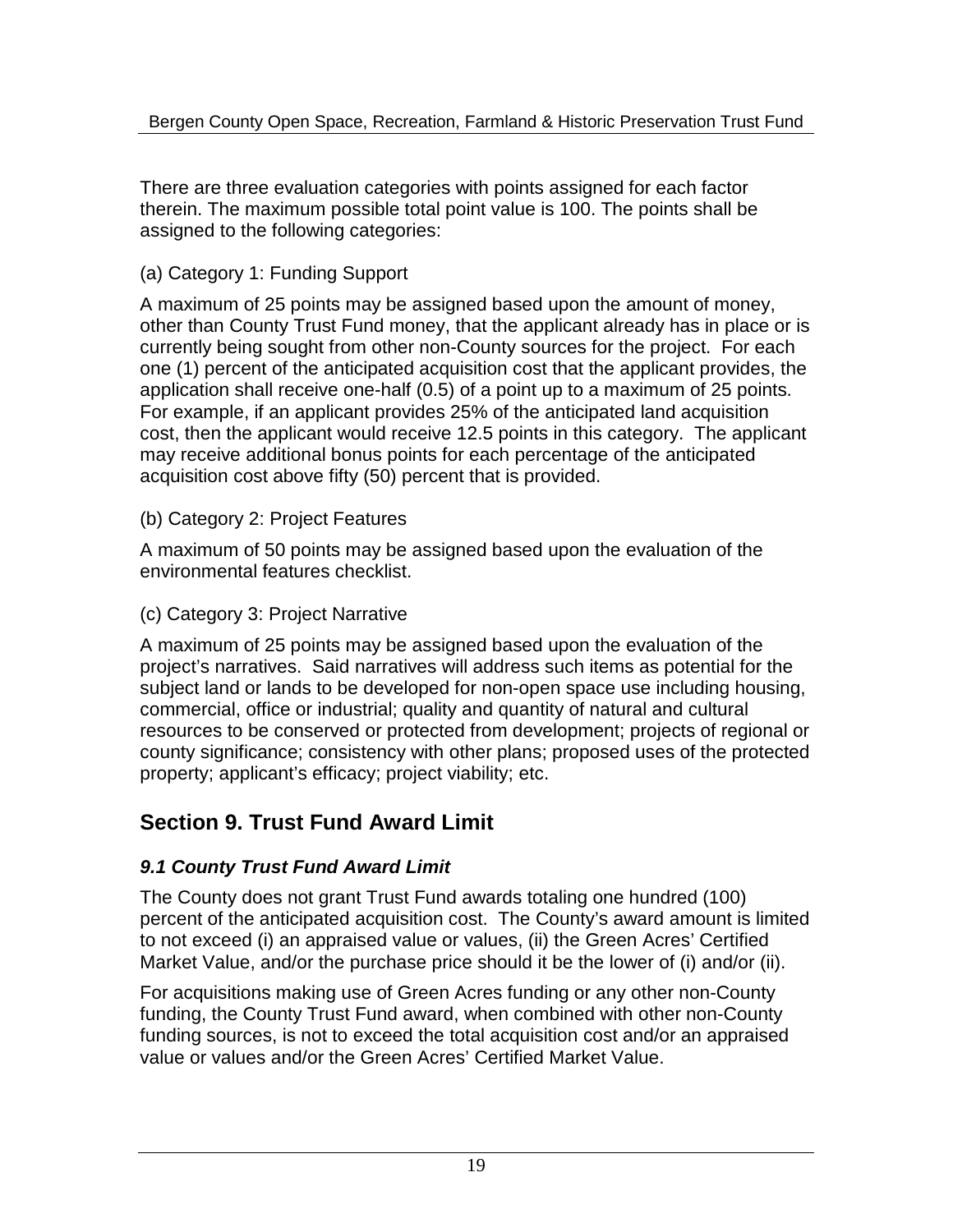There are three evaluation categories with points assigned for each factor therein. The maximum possible total point value is 100. The points shall be assigned to the following categories:

### (a) Category 1: Funding Support

A maximum of 25 points may be assigned based upon the amount of money, other than County Trust Fund money, that the applicant already has in place or is currently being sought from other non-County sources for the project. For each one (1) percent of the anticipated acquisition cost that the applicant provides, the application shall receive one-half (0.5) of a point up to a maximum of 25 points. For example, if an applicant provides 25% of the anticipated land acquisition cost, then the applicant would receive 12.5 points in this category. The applicant may receive additional bonus points for each percentage of the anticipated acquisition cost above fifty (50) percent that is provided.

### (b) Category 2: Project Features

A maximum of 50 points may be assigned based upon the evaluation of the environmental features checklist.

### (c) Category 3: Project Narrative

A maximum of 25 points may be assigned based upon the evaluation of the project's narratives. Said narratives will address such items as potential for the subject land or lands to be developed for non-open space use including housing, commercial, office or industrial; quality and quantity of natural and cultural resources to be conserved or protected from development; projects of regional or county significance; consistency with other plans; proposed uses of the protected property; applicant's efficacy; project viability; etc.

# **Section 9. Trust Fund Award Limit**

# *9.1 County Trust Fund Award Limit*

The County does not grant Trust Fund awards totaling one hundred (100) percent of the anticipated acquisition cost. The County's award amount is limited to not exceed (i) an appraised value or values, (ii) the Green Acres' Certified Market Value, and/or the purchase price should it be the lower of (i) and/or (ii).

For acquisitions making use of Green Acres funding or any other non-County funding, the County Trust Fund award, when combined with other non-County funding sources, is not to exceed the total acquisition cost and/or an appraised value or values and/or the Green Acres' Certified Market Value.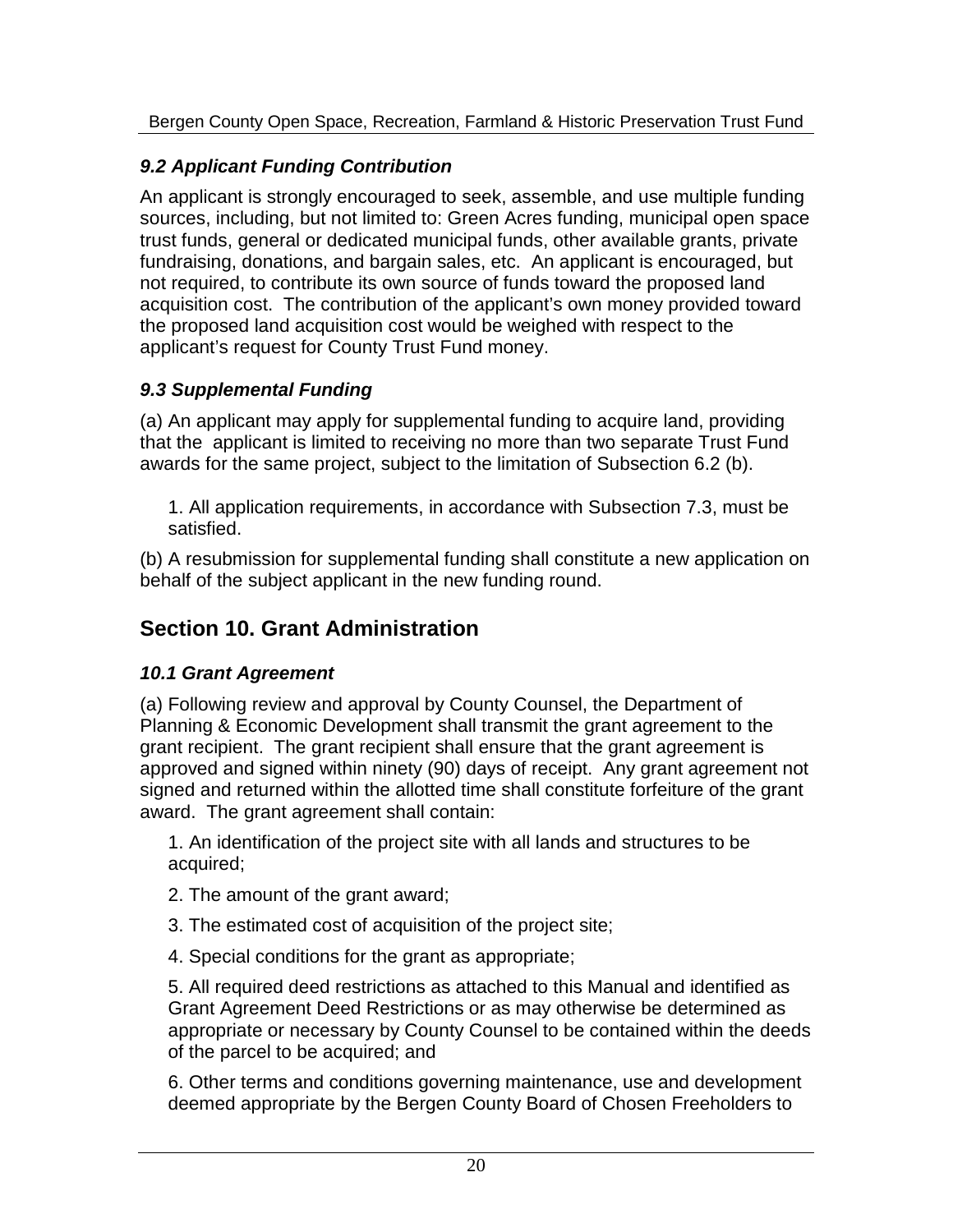# *9.2 Applicant Funding Contribution*

An applicant is strongly encouraged to seek, assemble, and use multiple funding sources, including, but not limited to: Green Acres funding, municipal open space trust funds, general or dedicated municipal funds, other available grants, private fundraising, donations, and bargain sales, etc. An applicant is encouraged, but not required, to contribute its own source of funds toward the proposed land acquisition cost. The contribution of the applicant's own money provided toward the proposed land acquisition cost would be weighed with respect to the applicant's request for County Trust Fund money.

# *9.3 Supplemental Funding*

(a) An applicant may apply for supplemental funding to acquire land, providing that the applicant is limited to receiving no more than two separate Trust Fund awards for the same project, subject to the limitation of Subsection 6.2 (b).

1. All application requirements, in accordance with Subsection 7.3, must be satisfied.

(b) A resubmission for supplemental funding shall constitute a new application on behalf of the subject applicant in the new funding round.

# **Section 10. Grant Administration**

# *10.1 Grant Agreement*

(a) Following review and approval by County Counsel, the Department of Planning & Economic Development shall transmit the grant agreement to the grant recipient. The grant recipient shall ensure that the grant agreement is approved and signed within ninety (90) days of receipt. Any grant agreement not signed and returned within the allotted time shall constitute forfeiture of the grant award. The grant agreement shall contain:

1. An identification of the project site with all lands and structures to be acquired;

- 2. The amount of the grant award;
- 3. The estimated cost of acquisition of the project site;
- 4. Special conditions for the grant as appropriate;

5. All required deed restrictions as attached to this Manual and identified as Grant Agreement Deed Restrictions or as may otherwise be determined as appropriate or necessary by County Counsel to be contained within the deeds of the parcel to be acquired; and

6. Other terms and conditions governing maintenance, use and development deemed appropriate by the Bergen County Board of County Commissioners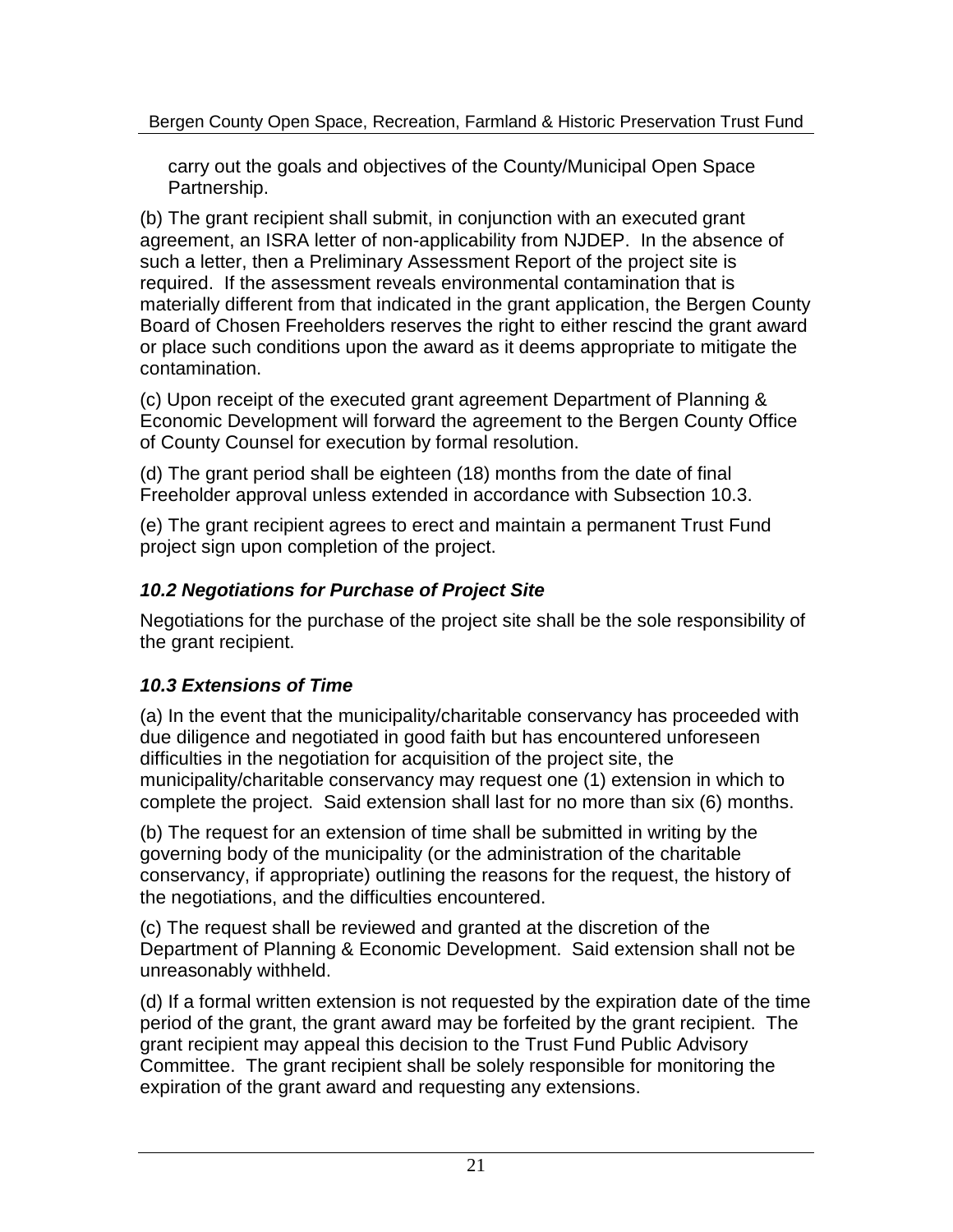to carry out the goals and objectives of the County/Municipal Open Space Partnership.

(b) The grant recipient shall submit, in conjunction with an executed grant agreement, an ISRA letter of non-applicability from NJDEP. In the absence of such a letter, then a Preliminary Assessment Report of the project site is required. If the assessment reveals environmental contamination that is materially different from that indicated in the grant application, the Bergen County Board of County Commissioners reserves the right to either rescind the grant award or place such conditions upon the award as it deems appropriate to mitigate the contamination.

(c) Upon receipt of the executed grant agreement Department of Planning & Economic Development will forward the agreement to the Bergen County Office of County Counsel for execution by formal resolution.

(d) The grant period shall be eighteen (18) months from the date of final County Commissioner approval unless extended in accordance with Subsection 10.3.

(e) The grant recipient agrees to erect and maintain a permanent Trust Fund project sign upon completion of the project.

### *10.2 Negotiations for Purchase of Project Site*

Negotiations for the purchase of the project site shall be the sole responsibility of the grant recipient.

### *10.3 Extensions of Time*

(a) In the event that the municipality/charitable conservancy has proceeded with due diligence and negotiated in good faith but has encountered unforeseen difficulties in the negotiation for acquisition of the project site, the municipality/charitable conservancy may request one (1) extension in which to complete the project. Said extension shall last for no more than six (6) months.

(b) The request for an extension of time shall be submitted in writing by the governing body of the municipality (or the administration of the charitable conservancy, if appropriate) outlining the reasons for the request, the history of the negotiations, and the difficulties encountered.

(c) The request shall be reviewed and granted at the discretion of the Department of Planning & Economic Development. Said extension shall not be unreasonably withheld.

(d) If a formal written extension is not requested by the expiration date of the time period of the grant, the grant award may be forfeited by the grant recipient. The grant recipient may appeal this decision to the Trust Fund Public Advisory Committee. The grant recipient shall be solely responsible for monitoring the expiration of the grant award and requesting any extensions.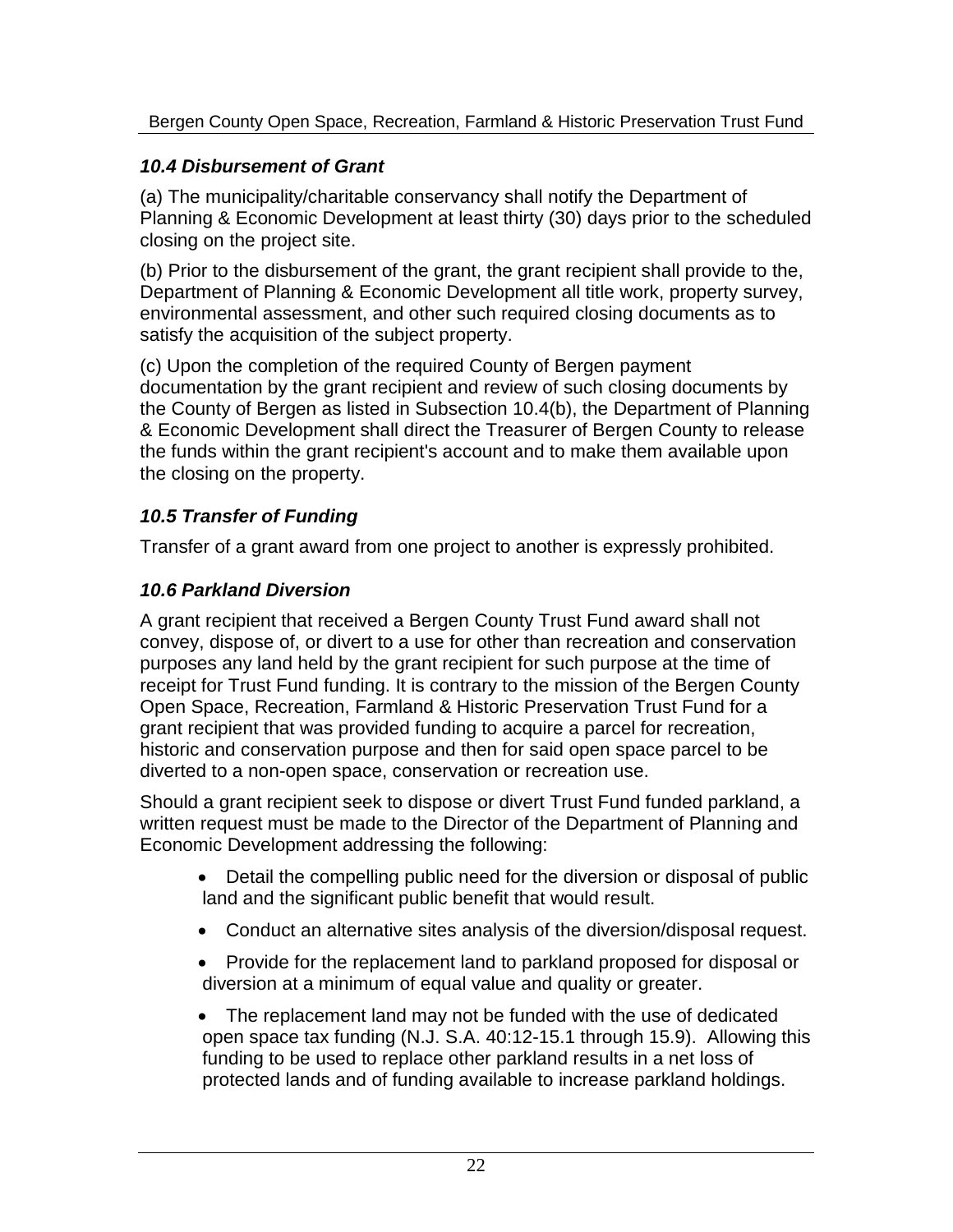#### *10.4 Disbursement of Grant*

(a) The municipality/charitable conservancy shall notify the Department of Planning & Economic Development at least thirty (30) days prior to the scheduled closing on the project site.

(b) Prior to the disbursement of the grant, the grant recipient shall provide to the, Department of Planning & Economic Development all title work, property survey, environmental assessment, and other such required closing documents as to satisfy the acquisition of the subject property.

(c) Upon the completion of the required County of Bergen payment documentation by the grant recipient and review of such closing documents by the County of Bergen as listed in Subsection 10.4(b), the Department of Planning & Economic Development shall direct the Treasurer of Bergen County to release the funds within the grant recipient's account and to make them available upon the closing on the property.

### *10.5 Transfer of Funding*

Transfer of a grant award from one project to another is expressly prohibited.

### *10.6 Parkland Diversion*

A grant recipient that received a Bergen County Trust Fund award shall not convey, dispose of, or divert to a use for other than recreation and conservation purposes any land held by the grant recipient for such purpose at the time of receipt for Trust Fund funding. It is contrary to the mission of the Bergen County Open Space, Recreation, Farmland & Historic Preservation Trust Fund for a grant recipient that was provided funding to acquire a parcel for recreation, historic and conservation purpose and then for said open space parcel to be diverted to a non-open space, conservation or recreation use.

Should a grant recipient seek to dispose or divert Trust Fund funded parkland, a written request must be made to the Director of the Department of Planning and Economic Development addressing the following:

- Detail the compelling public need for the diversion or disposal of public land and the significant public benefit that would result.
- Conduct an alternative sites analysis of the diversion/disposal request.
- Provide for the replacement land to parkland proposed for disposal or diversion at a minimum of equal value and quality or greater.
- The replacement land may not be funded with the use of dedicated open space tax funding (N.J. S.A. 40:12-15.1 through 15.9). Allowing this funding to be used to replace other parkland results in a net loss of protected lands and of funding available to increase parkland holdings.